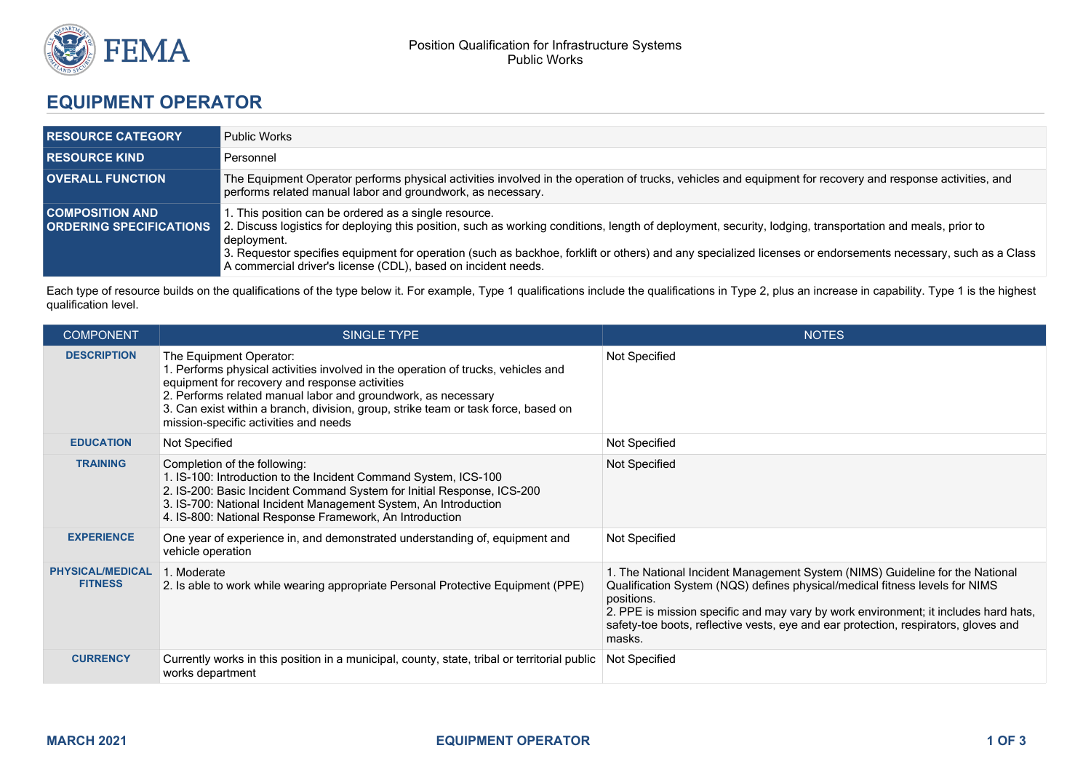

## **EQUIPMENT OPERATOR**

| <b>I RESOURCE CATEGORY</b>                                 | <b>Public Works</b>                                                                                                                                                                                                                                                                                                                                                                                                                                                |
|------------------------------------------------------------|--------------------------------------------------------------------------------------------------------------------------------------------------------------------------------------------------------------------------------------------------------------------------------------------------------------------------------------------------------------------------------------------------------------------------------------------------------------------|
| <b>I RESOURCE KIND</b>                                     | Personnel                                                                                                                                                                                                                                                                                                                                                                                                                                                          |
| <b>OVERALL FUNCTION</b>                                    | The Equipment Operator performs physical activities involved in the operation of trucks, vehicles and equipment for recovery and response activities, and<br>performs related manual labor and groundwork, as necessary.                                                                                                                                                                                                                                           |
| <b>COMPOSITION AND</b><br><b>I ORDERING SPECIFICATIONS</b> | 1. This position can be ordered as a single resource.<br>2. Discuss logistics for deploying this position, such as working conditions, length of deployment, security, lodging, transportation and meals, prior to<br>deployment.<br>3. Requestor specifies equipment for operation (such as backhoe, forklift or others) and any specialized licenses or endorsements necessary, such as a Class<br>A commercial driver's license (CDL), based on incident needs. |

Each type of resource builds on the qualifications of the type below it. For example, Type 1 qualifications include the qualifications in Type 2, plus an increase in capability. Type 1 is the highest qualification level.

| <b>COMPONENT</b>                          | SINGLE TYPE                                                                                                                                                                                                                                                                                                                                                    | <b>NOTES</b>                                                                                                                                                                                                                                                                                                                                                      |
|-------------------------------------------|----------------------------------------------------------------------------------------------------------------------------------------------------------------------------------------------------------------------------------------------------------------------------------------------------------------------------------------------------------------|-------------------------------------------------------------------------------------------------------------------------------------------------------------------------------------------------------------------------------------------------------------------------------------------------------------------------------------------------------------------|
| <b>DESCRIPTION</b>                        | The Equipment Operator:<br>1. Performs physical activities involved in the operation of trucks, vehicles and<br>equipment for recovery and response activities<br>2. Performs related manual labor and groundwork, as necessary<br>3. Can exist within a branch, division, group, strike team or task force, based on<br>mission-specific activities and needs | Not Specified                                                                                                                                                                                                                                                                                                                                                     |
| <b>EDUCATION</b>                          | Not Specified                                                                                                                                                                                                                                                                                                                                                  | Not Specified                                                                                                                                                                                                                                                                                                                                                     |
| <b>TRAINING</b>                           | Completion of the following:<br>1. IS-100: Introduction to the Incident Command System, ICS-100<br>2. IS-200: Basic Incident Command System for Initial Response, ICS-200<br>3. IS-700: National Incident Management System, An Introduction<br>4. IS-800: National Response Framework, An Introduction                                                        | Not Specified                                                                                                                                                                                                                                                                                                                                                     |
| <b>EXPERIENCE</b>                         | One year of experience in, and demonstrated understanding of, equipment and<br>vehicle operation                                                                                                                                                                                                                                                               | Not Specified                                                                                                                                                                                                                                                                                                                                                     |
| <b>PHYSICAL/MEDICAL</b><br><b>FITNESS</b> | 1. Moderate<br>2. Is able to work while wearing appropriate Personal Protective Equipment (PPE)                                                                                                                                                                                                                                                                | 1. The National Incident Management System (NIMS) Guideline for the National<br>Qualification System (NQS) defines physical/medical fitness levels for NIMS<br>positions.<br>2. PPE is mission specific and may vary by work environment; it includes hard hats,<br>safety-toe boots, reflective vests, eye and ear protection, respirators, gloves and<br>masks. |
| <b>CURRENCY</b>                           | Currently works in this position in a municipal, county, state, tribal or territorial public<br>works department                                                                                                                                                                                                                                               | Not Specified                                                                                                                                                                                                                                                                                                                                                     |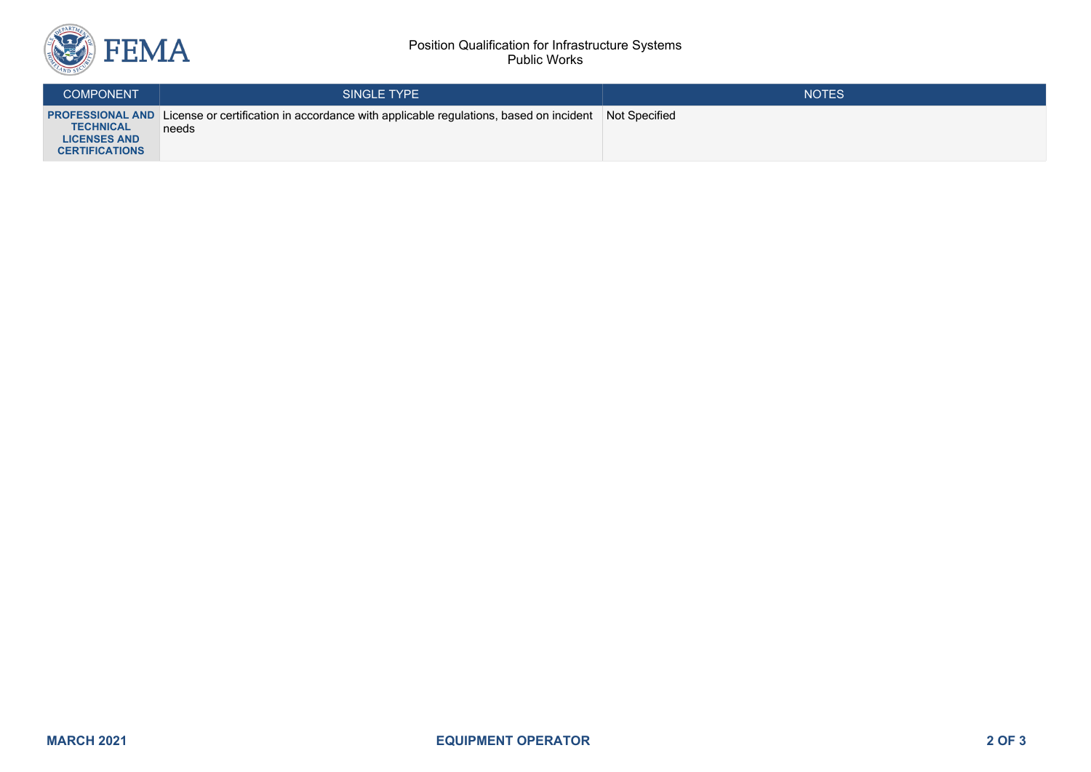

## Position Qualification for Infrastructure Systems Public Works

| <b>COMPONENT</b>                                                 | SINGLE TYPE                                                                                                                          | <b>NOTES</b> |
|------------------------------------------------------------------|--------------------------------------------------------------------------------------------------------------------------------------|--------------|
| <b>TECHNICAL</b><br><b>LICENSES AND</b><br><b>CERTIFICATIONS</b> | <b>PROFESSIONAL AND</b> License or certification in accordance with applicable regulations, based on incident Not Specified<br>needs |              |